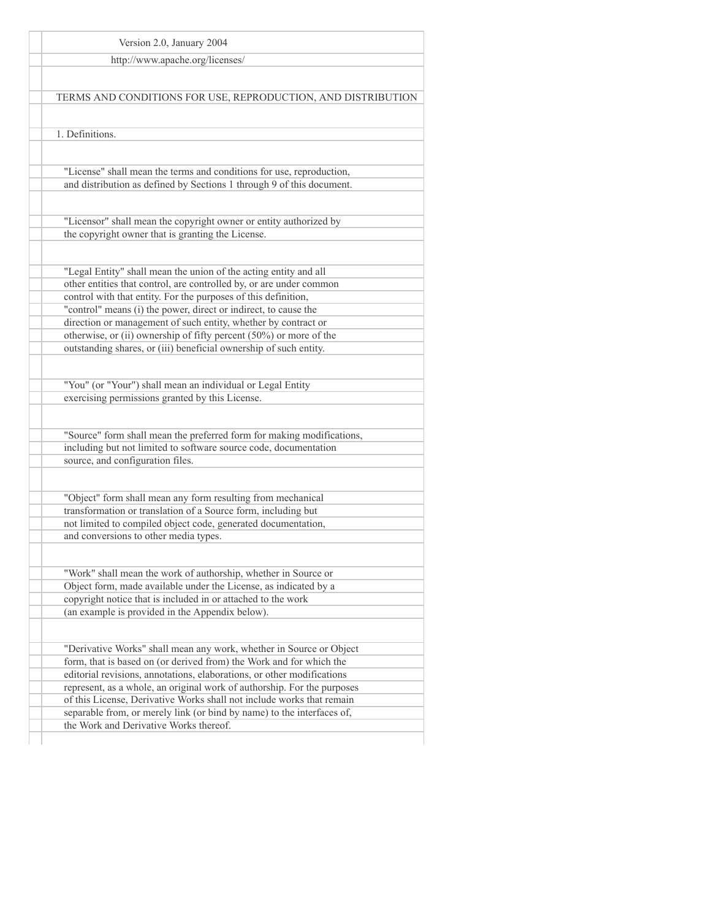| Version 2.0, January 2004                                                                                                         |
|-----------------------------------------------------------------------------------------------------------------------------------|
|                                                                                                                                   |
| http://www.apache.org/licenses/                                                                                                   |
|                                                                                                                                   |
| TERMS AND CONDITIONS FOR USE, REPRODUCTION, AND DISTRIBUTION                                                                      |
|                                                                                                                                   |
| 1. Definitions.                                                                                                                   |
|                                                                                                                                   |
|                                                                                                                                   |
| "License" shall mean the terms and conditions for use, reproduction,                                                              |
| and distribution as defined by Sections 1 through 9 of this document.                                                             |
|                                                                                                                                   |
| "Licensor" shall mean the copyright owner or entity authorized by                                                                 |
| the copyright owner that is granting the License.                                                                                 |
|                                                                                                                                   |
| "Legal Entity" shall mean the union of the acting entity and all                                                                  |
| other entities that control, are controlled by, or are under common                                                               |
| control with that entity. For the purposes of this definition,                                                                    |
| "control" means (i) the power, direct or indirect, to cause the<br>direction or management of such entity, whether by contract or |
| otherwise, or (ii) ownership of fifty percent $(50\%)$ or more of the                                                             |
| outstanding shares, or (iii) beneficial ownership of such entity.                                                                 |
|                                                                                                                                   |
| "You" (or "Your") shall mean an individual or Legal Entity                                                                        |
| exercising permissions granted by this License.                                                                                   |
|                                                                                                                                   |
| "Source" form shall mean the preferred form for making modifications,                                                             |
| including but not limited to software source code, documentation                                                                  |
| source, and configuration files.                                                                                                  |
|                                                                                                                                   |
| "Object" form shall mean any form resulting from mechanical                                                                       |
| transformation or translation of a Source form, including but                                                                     |
| not limited to compiled object code, generated documentation,                                                                     |
| and conversions to other media types.                                                                                             |
|                                                                                                                                   |
| "Work" shall mean the work of authorship, whether in Source or                                                                    |
| Object form, made available under the License, as indicated by a                                                                  |
| copyright notice that is included in or attached to the work                                                                      |
| (an example is provided in the Appendix below).                                                                                   |
|                                                                                                                                   |
| "Derivative Works" shall mean any work, whether in Source or Object                                                               |
| form, that is based on (or derived from) the Work and for which the                                                               |
| editorial revisions, annotations, elaborations, or other modifications                                                            |
| represent, as a whole, an original work of authorship. For the purposes                                                           |
| of this License, Derivative Works shall not include works that remain                                                             |
| separable from, or merely link (or bind by name) to the interfaces of,<br>the Work and Derivative Works thereof.                  |
|                                                                                                                                   |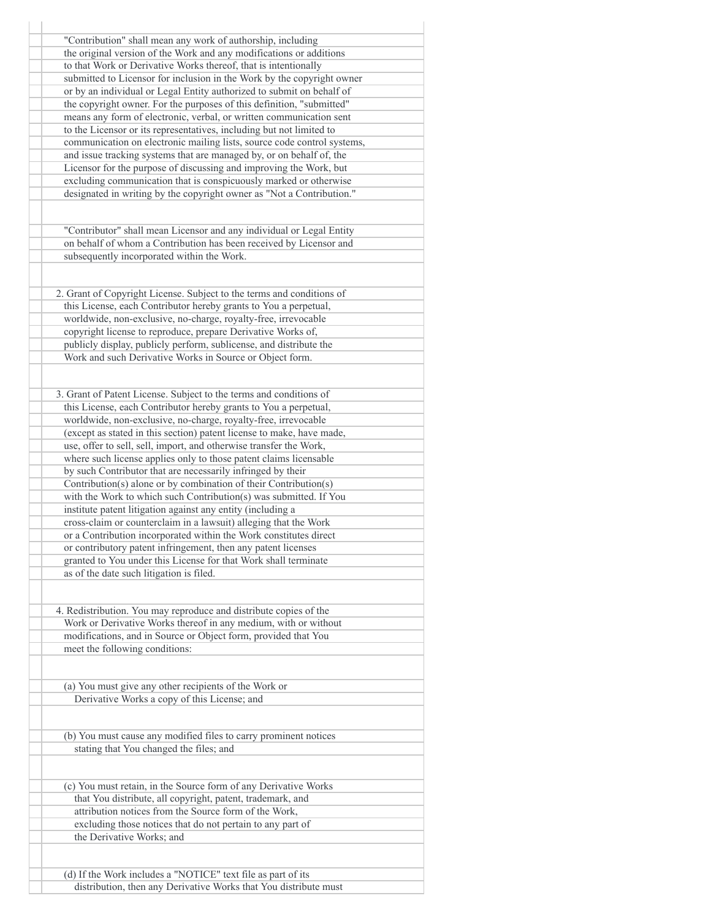| "Contribution" shall mean any work of authorship, including             |
|-------------------------------------------------------------------------|
| the original version of the Work and any modifications or additions     |
| to that Work or Derivative Works thereof, that is intentionally         |
| submitted to Licensor for inclusion in the Work by the copyright owner  |
| or by an individual or Legal Entity authorized to submit on behalf of   |
| the copyright owner. For the purposes of this definition, "submitted"   |
| means any form of electronic, verbal, or written communication sent     |
| to the Licensor or its representatives, including but not limited to    |
| communication on electronic mailing lists, source code control systems, |
| and issue tracking systems that are managed by, or on behalf of, the    |
| Licensor for the purpose of discussing and improving the Work, but      |
| excluding communication that is conspicuously marked or otherwise       |
| designated in writing by the copyright owner as "Not a Contribution."   |
|                                                                         |
| "Contributor" shall mean Licensor and any individual or Legal Entity    |
| on behalf of whom a Contribution has been received by Licensor and      |
|                                                                         |
| subsequently incorporated within the Work.                              |
|                                                                         |
| 2. Grant of Copyright License. Subject to the terms and conditions of   |
| this License, each Contributor hereby grants to You a perpetual,        |
| worldwide, non-exclusive, no-charge, royalty-free, irrevocable          |
| copyright license to reproduce, prepare Derivative Works of,            |
| publicly display, publicly perform, sublicense, and distribute the      |
| Work and such Derivative Works in Source or Object form.                |
|                                                                         |
|                                                                         |
| 3. Grant of Patent License. Subject to the terms and conditions of      |
| this License, each Contributor hereby grants to You a perpetual,        |
| worldwide, non-exclusive, no-charge, royalty-free, irrevocable          |
| (except as stated in this section) patent license to make, have made,   |
| use, offer to sell, sell, import, and otherwise transfer the Work,      |
| where such license applies only to those patent claims licensable       |
| by such Contributor that are necessarily infringed by their             |
| Contribution(s) alone or by combination of their Contribution(s)        |
| with the Work to which such Contribution(s) was submitted. If You       |
| institute patent litigation against any entity (including a             |
| cross-claim or counterclaim in a lawsuit) alleging that the Work        |
| or a Contribution incorporated within the Work constitutes direct       |
| or contributory patent infringement, then any patent licenses           |
| granted to You under this License for that Work shall terminate         |
| as of the date such litigation is filed.                                |
|                                                                         |
|                                                                         |
| 4. Redistribution. You may reproduce and distribute copies of the       |
| Work or Derivative Works thereof in any medium, with or without         |
| modifications, and in Source or Object form, provided that You          |
| meet the following conditions:                                          |
|                                                                         |
| (a) You must give any other recipients of the Work or                   |
| Derivative Works a copy of this License; and                            |
|                                                                         |
| (b) You must cause any modified files to carry prominent notices        |
| stating that You changed the files; and                                 |
|                                                                         |
|                                                                         |
| (c) You must retain, in the Source form of any Derivative Works         |
| that You distribute, all copyright, patent, trademark, and              |
| attribution notices from the Source form of the Work,                   |
| excluding those notices that do not pertain to any part of              |
| the Derivative Works; and                                               |
|                                                                         |
| (d) If the Work includes a "NOTICE" text file as part of its            |
| distribution, then any Derivative Works that You distribute must        |
|                                                                         |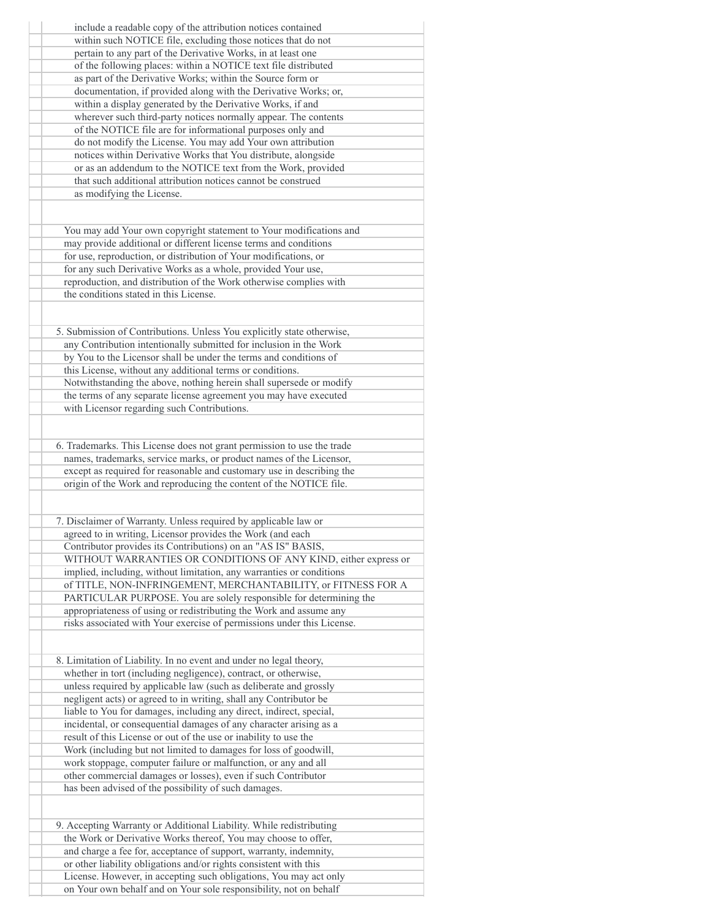| include a readable copy of the attribution notices contained           |
|------------------------------------------------------------------------|
| within such NOTICE file, excluding those notices that do not           |
| pertain to any part of the Derivative Works, in at least one           |
| of the following places: within a NOTICE text file distributed         |
|                                                                        |
| as part of the Derivative Works; within the Source form or             |
| documentation, if provided along with the Derivative Works; or,        |
| within a display generated by the Derivative Works, if and             |
| wherever such third-party notices normally appear. The contents        |
| of the NOTICE file are for informational purposes only and             |
| do not modify the License. You may add Your own attribution            |
| notices within Derivative Works that You distribute, alongside         |
|                                                                        |
| or as an addendum to the NOTICE text from the Work, provided           |
| that such additional attribution notices cannot be construed           |
| as modifying the License.                                              |
|                                                                        |
| You may add Your own copyright statement to Your modifications and     |
| may provide additional or different license terms and conditions       |
| for use, reproduction, or distribution of Your modifications, or       |
| for any such Derivative Works as a whole, provided Your use,           |
| reproduction, and distribution of the Work otherwise complies with     |
| the conditions stated in this License.                                 |
|                                                                        |
|                                                                        |
| 5. Submission of Contributions. Unless You explicitly state otherwise, |
| any Contribution intentionally submitted for inclusion in the Work     |
| by You to the Licensor shall be under the terms and conditions of      |
| this License, without any additional terms or conditions.              |
|                                                                        |
| Notwithstanding the above, nothing herein shall supersede or modify    |
| the terms of any separate license agreement you may have executed      |
| with Licensor regarding such Contributions.                            |
|                                                                        |
| 6. Trademarks. This License does not grant permission to use the trade |
| names, trademarks, service marks, or product names of the Licensor,    |
| except as required for reasonable and customary use in describing the  |
| origin of the Work and reproducing the content of the NOTICE file.     |
|                                                                        |
|                                                                        |
| 7. Disclaimer of Warranty. Unless required by applicable law or        |
| agreed to in writing, Licensor provides the Work (and each             |
| Contributor provides its Contributions) on an "AS IS" BASIS,           |
| WITHOUT WARRANTIES OR CONDITIONS OF ANY KIND, either express or        |
| implied, including, without limitation, any warranties or conditions   |
|                                                                        |
| of TITLE, NON-INFRINGEMENT, MERCHANTABILITY, or FITNESS FOR A          |
| PARTICULAR PURPOSE. You are solely responsible for determining the     |
| appropriateness of using or redistributing the Work and assume any     |
| risks associated with Your exercise of permissions under this License. |
|                                                                        |
| 8. Limitation of Liability. In no event and under no legal theory,     |
|                                                                        |
| whether in tort (including negligence), contract, or otherwise,        |
| unless required by applicable law (such as deliberate and grossly      |
| negligent acts) or agreed to in writing, shall any Contributor be      |
| liable to You for damages, including any direct, indirect, special,    |
| incidental, or consequential damages of any character arising as a     |
| result of this License or out of the use or inability to use the       |
|                                                                        |
| Work (including but not limited to damages for loss of goodwill,       |
| work stoppage, computer failure or malfunction, or any and all         |
| other commercial damages or losses), even if such Contributor          |
| has been advised of the possibility of such damages.                   |
|                                                                        |
| 9. Accepting Warranty or Additional Liability. While redistributing    |
| the Work or Derivative Works thereof, You may choose to offer,         |
|                                                                        |
| and charge a fee for, acceptance of support, warranty, indemnity,      |
| or other liability obligations and/or rights consistent with this      |
| License. However, in accepting such obligations, You may act only      |
| on Your own behalf and on Your sole responsibility, not on behalf      |
|                                                                        |